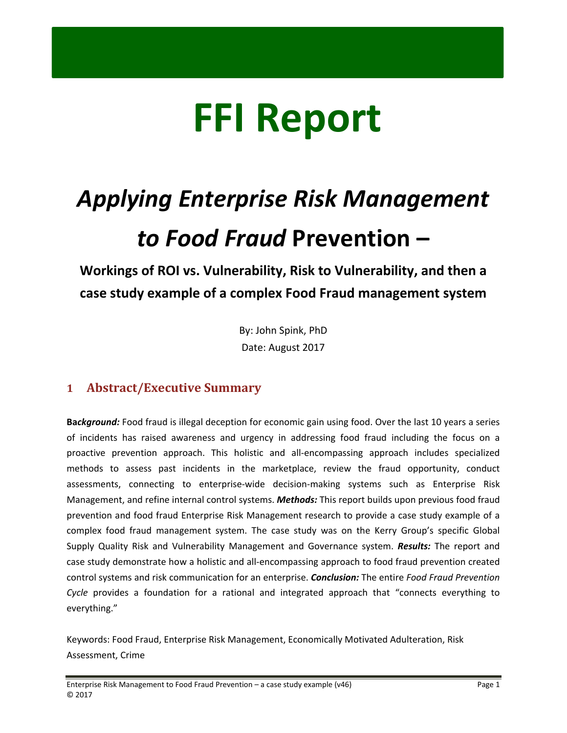# **FFI Report**

# *Applying Enterprise Risk Management to Food Fraud* **Prevention –**

**Workings of ROI vs. Vulnerability, Risk to Vulnerability, and then a case study example of a complex Food Fraud management system**

> By: John Spink, PhD Date: August 2017

# **1 Abstract/Executive Summary**

**Ba***ckground:* Food fraud is illegal deception for economic gain using food. Over the last 10 years a series of incidents has raised awareness and urgency in addressing food fraud including the focus on a proactive prevention approach. This holistic and all‐encompassing approach includes specialized methods to assess past incidents in the marketplace, review the fraud opportunity, conduct assessments, connecting to enterprise‐wide decision‐making systems such as Enterprise Risk Management, and refine internal control systems. *Methods:* This report builds upon previous food fraud prevention and food fraud Enterprise Risk Management research to provide a case study example of a complex food fraud management system. The case study was on the Kerry Group's specific Global Supply Quality Risk and Vulnerability Management and Governance system. *Results:* The report and case study demonstrate how a holistic and all‐encompassing approach to food fraud prevention created control systems and risk communication for an enterprise. *Conclusion:* The entire *Food Fraud Prevention Cycle* provides a foundation for a rational and integrated approach that "connects everything to everything."

Keywords: Food Fraud, Enterprise Risk Management, Economically Motivated Adulteration, Risk Assessment, Crime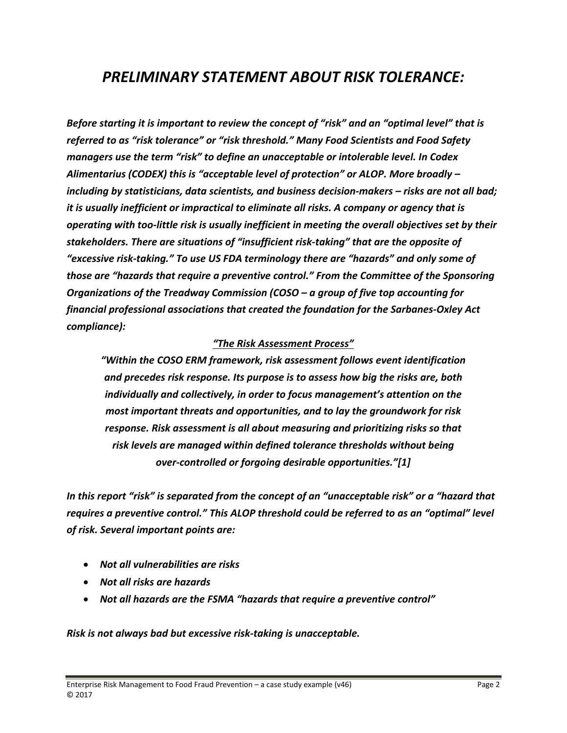# *PRELIMINARY STATEMENT ABOUT RISK TOLERANCE:*

*Before starting it is important to review the concept of "risk" and an "optimal level" that is referred to as "risk tolerance" or "risk threshold." Many Food Scientists and Food Safety managers use the term "risk" to define an unacceptable or intolerable level. In Codex Alimentarius (CODEX) this is "acceptable level of protection" or ALOP. More broadly – including by statisticians, data scientists, and business decision‐makers – risks are not all bad; it is usually inefficient or impractical to eliminate all risks. A company or agency that is operating with too‐little risk is usually inefficient in meeting the overall objectives set by their stakeholders. There are situations of "insufficient risk‐taking" that are the opposite of "excessive risk‐taking." To use US FDA terminology there are "hazards" and only some of those are "hazards that require a preventive control." From the Committee of the Sponsoring Organizations of the Treadway Commission (COSO – a group of five top accounting for financial professional associations that created the foundation for the Sarbanes‐Oxley Act compliance):* 

#### *"The Risk Assessment Process"*

*"Within the COSO ERM framework, risk assessment follows event identification and precedes risk response. Its purpose is to assess how big the risks are, both individually and collectively, in order to focus management's attention on the most important threats and opportunities, and to lay the groundwork for risk response. Risk assessment is all about measuring and prioritizing risks so that risk levels are managed within defined tolerance thresholds without being over‐controlled or forgoing desirable opportunities."[1]*

*In this report "risk" is separated from the concept of an "unacceptable risk" or a "hazard that requires a preventive control." This ALOP threshold could be referred to as an "optimal" level of risk. Several important points are:*

- *Not all vulnerabilities are risks*
- *Not all risks are hazards*
- *Not all hazards are the FSMA "hazards that require a preventive control"*

*Risk is not always bad but excessive risk‐taking is unacceptable.*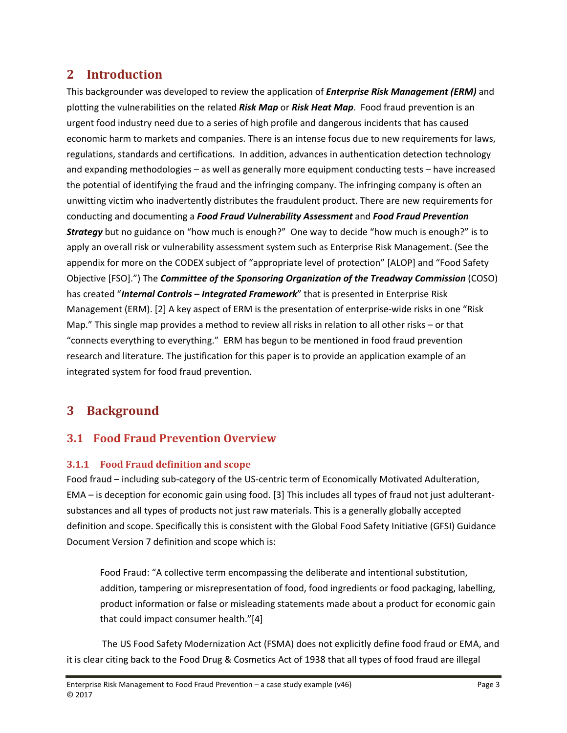# **2** Introduction

This backgrounder was developed to review the application of *Enterprise Risk Management (ERM)* and plotting the vulnerabilities on the related *Risk Map* or *Risk Heat Map*. Food fraud prevention is an urgent food industry need due to a series of high profile and dangerous incidents that has caused economic harm to markets and companies. There is an intense focus due to new requirements for laws, regulations, standards and certifications. In addition, advances in authentication detection technology and expanding methodologies – as well as generally more equipment conducting tests – have increased the potential of identifying the fraud and the infringing company. The infringing company is often an unwitting victim who inadvertently distributes the fraudulent product. There are new requirements for conducting and documenting a *Food Fraud Vulnerability Assessment* and *Food Fraud Prevention Strategy* but no guidance on "how much is enough?" One way to decide "how much is enough?" is to apply an overall risk or vulnerability assessment system such as Enterprise Risk Management. (See the appendix for more on the CODEX subject of "appropriate level of protection" [ALOP] and "Food Safety Objective [FSO].") The *Committee of the Sponsoring Organization of the Treadway Commission* (COSO) has created "*Internal Controls – Integrated Framework*" that is presented in Enterprise Risk Management (ERM). [2] A key aspect of ERM is the presentation of enterprise‐wide risks in one "Risk Map." This single map provides a method to review all risks in relation to all other risks – or that "connects everything to everything." ERM has begun to be mentioned in food fraud prevention research and literature. The justification for this paper is to provide an application example of an integrated system for food fraud prevention.

# **3 Background**

# **3.1 Food Fraud Prevention Overview**

## **3.1.1 Food Fraud definition and scope**

Food fraud – including sub‐category of the US‐centric term of Economically Motivated Adulteration, EMA – is deception for economic gain using food. [3] This includes all types of fraud not just adulterant‐ substances and all types of products not just raw materials. This is a generally globally accepted definition and scope. Specifically this is consistent with the Global Food Safety Initiative (GFSI) Guidance Document Version 7 definition and scope which is:

Food Fraud: "A collective term encompassing the deliberate and intentional substitution, addition, tampering or misrepresentation of food, food ingredients or food packaging, labelling, product information or false or misleading statements made about a product for economic gain that could impact consumer health."[4]

The US Food Safety Modernization Act (FSMA) does not explicitly define food fraud or EMA, and it is clear citing back to the Food Drug & Cosmetics Act of 1938 that all types of food fraud are illegal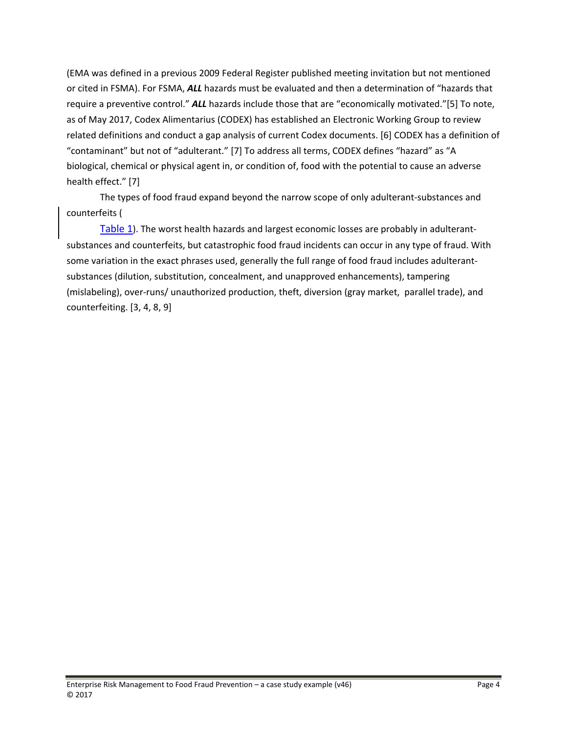(EMA was defined in a previous 2009 Federal Register published meeting invitation but not mentioned or cited in FSMA). For FSMA, *ALL* hazards must be evaluated and then a determination of "hazards that require a preventive control." *ALL* hazards include those that are "economically motivated."[5] To note, as of May 2017, Codex Alimentarius (CODEX) has established an Electronic Working Group to review related definitions and conduct a gap analysis of current Codex documents. [6] CODEX has a definition of "contaminant" but not of "adulterant." [7] To address all terms, CODEX defines "hazard" as "A biological, chemical or physical agent in, or condition of, food with the potential to cause an adverse health effect." [7]

The types of food fraud expand beyond the narrow scope of only adulterant‐substances and counterfeits (

Table 1). The worst health hazards and largest economic losses are probably in adulterantsubstances and counterfeits, but catastrophic food fraud incidents can occur in any type of fraud. With some variation in the exact phrases used, generally the full range of food fraud includes adulterantsubstances (dilution, substitution, concealment, and unapproved enhancements), tampering (mislabeling), over‐runs/ unauthorized production, theft, diversion (gray market, parallel trade), and counterfeiting. [3, 4, 8, 9]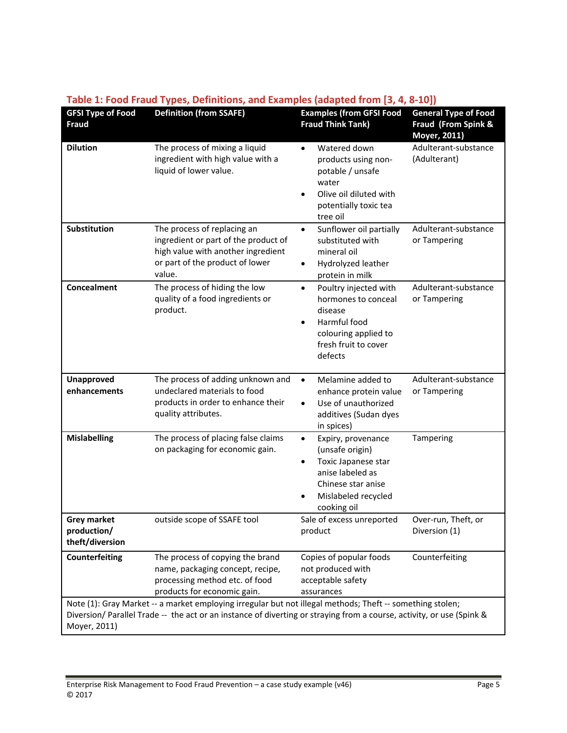| <b>GFSI Type of Food</b><br>Fraud                    | . ,<br><b>Definition (from SSAFE)</b>                                                                                                                                                                                             | <b>Examples (from GFSI Food</b><br><b>Fraud Think Tank)</b>                                                                                               | <b>General Type of Food</b><br>Fraud (From Spink &<br>Moyer, 2011) |
|------------------------------------------------------|-----------------------------------------------------------------------------------------------------------------------------------------------------------------------------------------------------------------------------------|-----------------------------------------------------------------------------------------------------------------------------------------------------------|--------------------------------------------------------------------|
| <b>Dilution</b>                                      | The process of mixing a liquid<br>ingredient with high value with a<br>liquid of lower value.                                                                                                                                     | Watered down<br>$\bullet$<br>products using non-<br>potable / unsafe<br>water<br>Olive oil diluted with<br>potentially toxic tea<br>tree oil              | Adulterant-substance<br>(Adulterant)                               |
| Substitution                                         | The process of replacing an<br>ingredient or part of the product of<br>high value with another ingredient<br>or part of the product of lower<br>value.                                                                            | Sunflower oil partially<br>$\bullet$<br>substituted with<br>mineral oil<br>Hydrolyzed leather<br>٠<br>protein in milk                                     | Adulterant-substance<br>or Tampering                               |
| <b>Concealment</b>                                   | The process of hiding the low<br>quality of a food ingredients or<br>product.                                                                                                                                                     | Poultry injected with<br>$\bullet$<br>hormones to conceal<br>disease<br>Harmful food<br>colouring applied to<br>fresh fruit to cover<br>defects           | Adulterant-substance<br>or Tampering                               |
| <b>Unapproved</b><br>enhancements                    | The process of adding unknown and<br>undeclared materials to food<br>products in order to enhance their<br>quality attributes.                                                                                                    | Melamine added to<br>$\bullet$<br>enhance protein value<br>Use of unauthorized<br>additives (Sudan dyes<br>in spices)                                     | Adulterant-substance<br>or Tampering                               |
| <b>Mislabelling</b>                                  | The process of placing false claims<br>on packaging for economic gain.                                                                                                                                                            | Expiry, provenance<br>$\bullet$<br>(unsafe origin)<br>Toxic Japanese star<br>anise labeled as<br>Chinese star anise<br>Mislabeled recycled<br>cooking oil | Tampering                                                          |
| <b>Grey market</b><br>production/<br>theft/diversion | outside scope of SSAFE tool                                                                                                                                                                                                       | Sale of excess unreported<br>product                                                                                                                      | Over-run, Theft, or<br>Diversion (1)                               |
| <b>Counterfeiting</b>                                | The process of copying the brand<br>name, packaging concept, recipe,<br>processing method etc. of food<br>products for economic gain.                                                                                             | Copies of popular foods<br>not produced with<br>acceptable safety<br>assurances                                                                           | Counterfeiting                                                     |
| Moyer, 2011)                                         | Note (1): Gray Market -- a market employing irregular but not illegal methods; Theft -- something stolen;<br>Diversion/Parallel Trade -- the act or an instance of diverting or straying from a course, activity, or use (Spink & |                                                                                                                                                           |                                                                    |

#### **Table 1: Food Fraud Types, Definitions, and Examples (adapted from [3, 4, 8‐10])**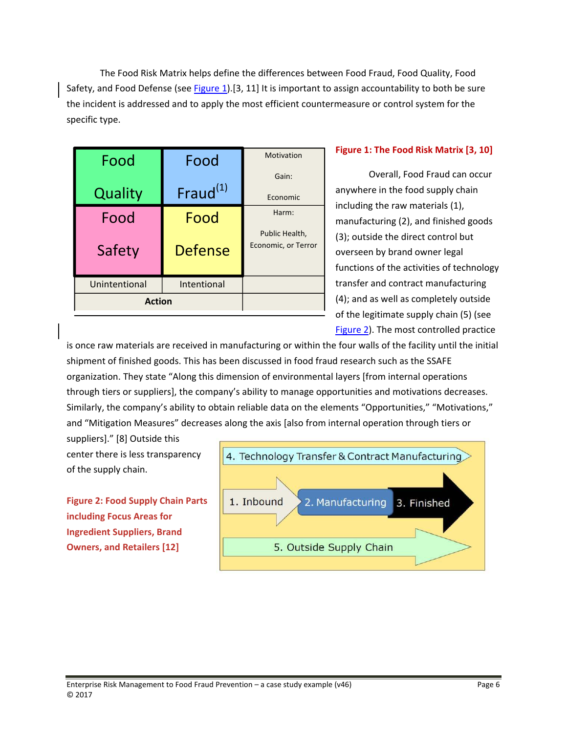The Food Risk Matrix helps define the differences between Food Fraud, Food Quality, Food Safety, and Food Defense (see Figure 1).[3, 11] It is important to assign accountability to both be sure the incident is addressed and to apply the most efficient countermeasure or control system for the specific type.

| Food          | Food                 | Motivation                            |
|---------------|----------------------|---------------------------------------|
| Quality       | Fraud <sup>(1)</sup> | Gain:<br>Economic                     |
| Food          | Food                 | Harm:                                 |
| Safety        | <b>Defense</b>       | Public Health,<br>Economic, or Terror |
| Unintentional | Intentional          |                                       |
| <b>Action</b> |                      |                                       |

#### **Figure 1: The Food Risk Matrix [3, 10]**

Overall, Food Fraud can occur anywhere in the food supply chain including the raw materials (1), manufacturing (2), and finished goods (3); outside the direct control but overseen by brand owner legal functions of the activities of technology transfer and contract manufacturing (4); and as well as completely outside of the legitimate supply chain (5) (see Figure 2). The most controlled practice

is once raw materials are received in manufacturing or within the four walls of the facility until the initial shipment of finished goods. This has been discussed in food fraud research such as the SSAFE organization. They state "Along this dimension of environmental layers [from internal operations through tiers or suppliers], the company's ability to manage opportunities and motivations decreases. Similarly, the company's ability to obtain reliable data on the elements "Opportunities," "Motivations," and "Mitigation Measures" decreases along the axis [also from internal operation through tiers or

suppliers]." [8] Outside this center there is less transparency of the supply chain.

**Figure 2: Food Supply Chain Parts including Focus Areas for Ingredient Suppliers, Brand Owners, and Retailers [12]**

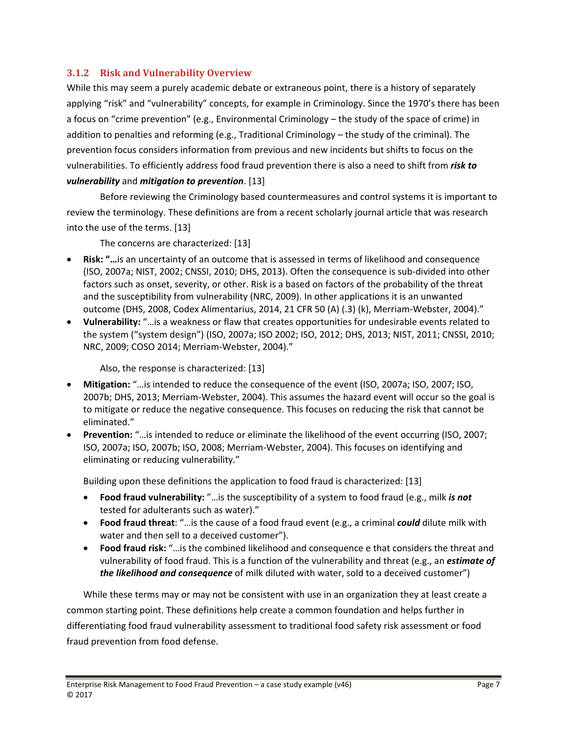#### **3.1.2 Risk and Vulnerability Overview**

While this may seem a purely academic debate or extraneous point, there is a history of separately applying "risk" and "vulnerability" concepts, for example in Criminology. Since the 1970's there has been a focus on "crime prevention" (e.g., Environmental Criminology – the study of the space of crime) in addition to penalties and reforming (e.g., Traditional Criminology – the study of the criminal). The prevention focus considers information from previous and new incidents but shifts to focus on the vulnerabilities. To efficiently address food fraud prevention there is also a need to shift from *risk to vulnerability* and *mitigation to prevention*. [13]

Before reviewing the Criminology based countermeasures and control systems it is important to review the terminology. These definitions are from a recent scholarly journal article that was research into the use of the terms. [13]

The concerns are characterized: [13]

- **Risk: "…**is an uncertainty of an outcome that is assessed in terms of likelihood and consequence (ISO, 2007a; NIST, 2002; CNSSI, 2010; DHS, 2013). Often the consequence is sub‐divided into other factors such as onset, severity, or other. Risk is a based on factors of the probability of the threat and the susceptibility from vulnerability (NRC, 2009). In other applications it is an unwanted outcome (DHS, 2008, Codex Alimentarius, 2014, 21 CFR 50 (A) (.3) (k), Merriam‐Webster, 2004)."
- **Vulnerability:** "…is a weakness or flaw that creates opportunities for undesirable events related to the system ("system design") (ISO, 2007a; ISO 2002; ISO, 2012; DHS, 2013; NIST, 2011; CNSSI, 2010; NRC, 2009; COSO 2014; Merriam‐Webster, 2004)."

Also, the response is characterized: [13]

- **Mitigation:** "... is intended to reduce the consequence of the event (ISO, 2007a; ISO, 2007; ISO, 2007b; DHS, 2013; Merriam‐Webster, 2004). This assumes the hazard event will occur so the goal is to mitigate or reduce the negative consequence. This focuses on reducing the risk that cannot be eliminated."
- **Prevention:** "…is intended to reduce or eliminate the likelihood of the event occurring (ISO, 2007; ISO, 2007a; ISO, 2007b; ISO, 2008; Merriam‐Webster, 2004). This focuses on identifying and eliminating or reducing vulnerability."

Building upon these definitions the application to food fraud is characterized: [13]

- **Food fraud vulnerability:** "…is the susceptibility of a system to food fraud (e.g., milk *is not* tested for adulterants such as water)."
- **Food fraud threat**: "…is the cause of a food fraud event (e.g., a criminal *could* dilute milk with water and then sell to a deceived customer").
- **Food fraud risk:** "…is the combined likelihood and consequence e that considers the threat and vulnerability of food fraud. This is a function of the vulnerability and threat (e.g., an *estimate of the likelihood and consequence* of milk diluted with water, sold to a deceived customer")

While these terms may or may not be consistent with use in an organization they at least create a common starting point. These definitions help create a common foundation and helps further in differentiating food fraud vulnerability assessment to traditional food safety risk assessment or food fraud prevention from food defense.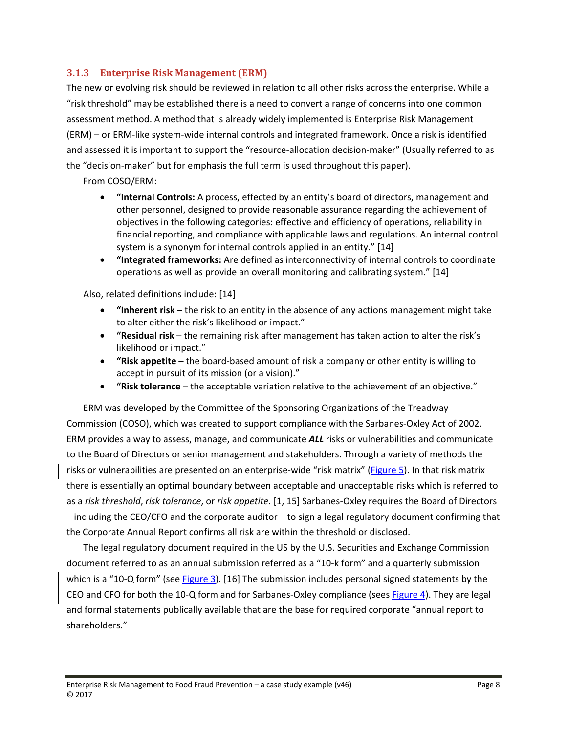#### **3.1.3 Enterprise Risk Management (ERM)**

The new or evolving risk should be reviewed in relation to all other risks across the enterprise. While a "risk threshold" may be established there is a need to convert a range of concerns into one common assessment method. A method that is already widely implemented is Enterprise Risk Management (ERM) – or ERM‐like system‐wide internal controls and integrated framework. Once a risk is identified and assessed it is important to support the "resource-allocation decision-maker" (Usually referred to as the "decision‐maker" but for emphasis the full term is used throughout this paper).

From COSO/ERM:

- **"Internal Controls:** A process, effected by an entity's board of directors, management and other personnel, designed to provide reasonable assurance regarding the achievement of objectives in the following categories: effective and efficiency of operations, reliability in financial reporting, and compliance with applicable laws and regulations. An internal control system is a synonym for internal controls applied in an entity." [14]
- **"Integrated frameworks:** Are defined as interconnectivity of internal controls to coordinate operations as well as provide an overall monitoring and calibrating system." [14]

Also, related definitions include: [14]

- **"Inherent risk** the risk to an entity in the absence of any actions management might take to alter either the risk's likelihood or impact."
- **"Residual risk** the remaining risk after management has taken action to alter the risk's likelihood or impact."
- **"Risk appetite** the board‐based amount of risk a company or other entity is willing to accept in pursuit of its mission (or a vision)."
- **"Risk tolerance** the acceptable variation relative to the achievement of an objective."

ERM was developed by the Committee of the Sponsoring Organizations of the Treadway Commission (COSO), which was created to support compliance with the Sarbanes‐Oxley Act of 2002. ERM provides a way to assess, manage, and communicate *ALL* risks or vulnerabilities and communicate to the Board of Directors or senior management and stakeholders. Through a variety of methods the risks or vulnerabilities are presented on an enterprise-wide "risk matrix" (Figure 5). In that risk matrix there is essentially an optimal boundary between acceptable and unacceptable risks which is referred to as a *risk threshold*, *risk tolerance*, or *risk appetite*. [1, 15] Sarbanes‐Oxley requires the Board of Directors – including the CEO/CFO and the corporate auditor – to sign a legal regulatory document confirming that the Corporate Annual Report confirms all risk are within the threshold or disclosed.

The legal regulatory document required in the US by the U.S. Securities and Exchange Commission document referred to as an annual submission referred as a "10‐k form" and a quarterly submission which is a "10-Q form" (see Figure 3). [16] The submission includes personal signed statements by the CEO and CFO for both the 10-Q form and for Sarbanes-Oxley compliance (sees Figure 4). They are legal and formal statements publically available that are the base for required corporate "annual report to shareholders."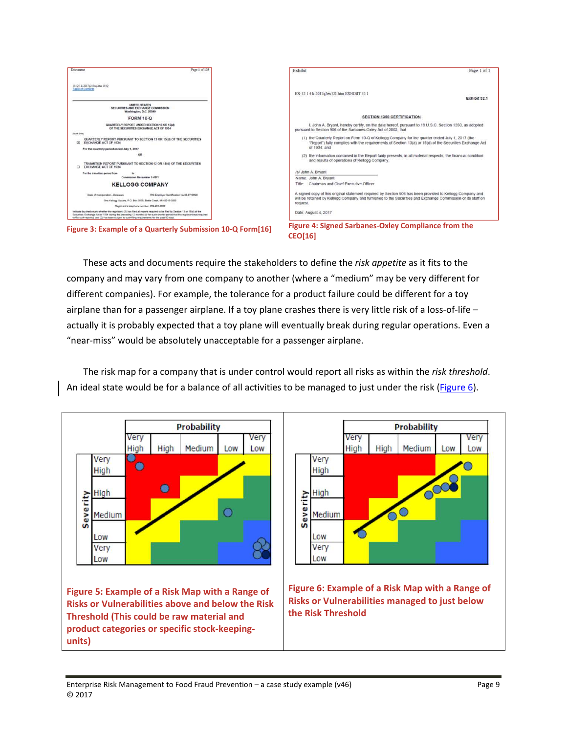

These acts and documents require the stakeholders to define the *risk appetite* as it fits to the company and may vary from one company to another (where a "medium" may be very different for different companies). For example, the tolerance for a product failure could be different for a toy airplane than for a passenger airplane. If a toy plane crashes there is very little risk of a loss-of-life – actually it is probably expected that a toy plane will eventually break during regular operations. Even a "near‐miss" would be absolutely unacceptable for a passenger airplane.

The risk map for a company that is under control would report all risks as within the *risk threshold*. An ideal state would be for a balance of all activities to be managed to just under the risk (Figure 6).

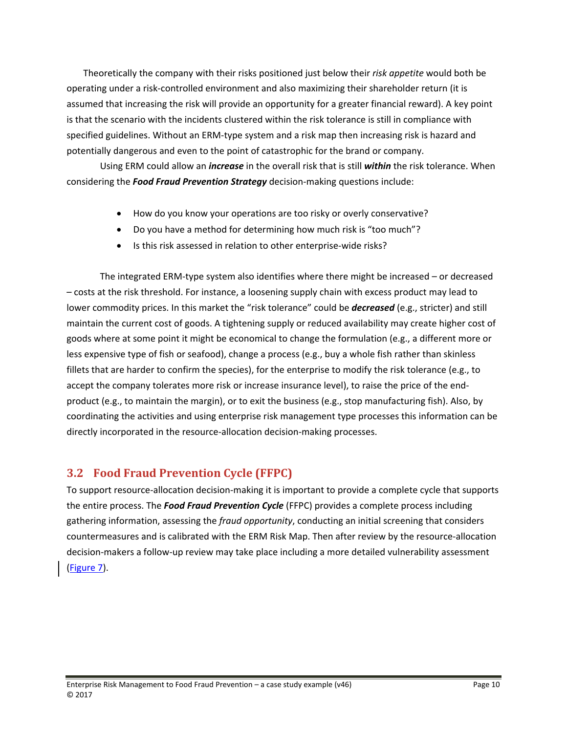Theoretically the company with their risks positioned just below their *risk appetite* would both be operating under a risk‐controlled environment and also maximizing their shareholder return (it is assumed that increasing the risk will provide an opportunity for a greater financial reward). A key point is that the scenario with the incidents clustered within the risk tolerance is still in compliance with specified guidelines. Without an ERM-type system and a risk map then increasing risk is hazard and potentially dangerous and even to the point of catastrophic for the brand or company.

Using ERM could allow an *increase* in the overall risk that is still *within* the risk tolerance. When considering the *Food Fraud Prevention Strategy* decision‐making questions include:

- How do you know your operations are too risky or overly conservative?
- Do you have a method for determining how much risk is "too much"?
- Is this risk assessed in relation to other enterprise-wide risks?

The integrated ERM‐type system also identifies where there might be increased – or decreased – costs at the risk threshold. For instance, a loosening supply chain with excess product may lead to lower commodity prices. In this market the "risk tolerance" could be *decreased* (e.g., stricter) and still maintain the current cost of goods. A tightening supply or reduced availability may create higher cost of goods where at some point it might be economical to change the formulation (e.g., a different more or less expensive type of fish or seafood), change a process (e.g., buy a whole fish rather than skinless fillets that are harder to confirm the species), for the enterprise to modify the risk tolerance (e.g., to accept the company tolerates more risk or increase insurance level), to raise the price of the end‐ product (e.g., to maintain the margin), or to exit the business (e.g., stop manufacturing fish). Also, by coordinating the activities and using enterprise risk management type processes this information can be directly incorporated in the resource‐allocation decision‐making processes.

## **3.2 Food Fraud Prevention Cycle (FFPC)**

To support resource‐allocation decision‐making it is important to provide a complete cycle that supports the entire process. The *Food Fraud Prevention Cycle* (FFPC) provides a complete process including gathering information, assessing the *fraud opportunity*, conducting an initial screening that considers countermeasures and is calibrated with the ERM Risk Map. Then after review by the resource‐allocation decision‐makers a follow‐up review may take place including a more detailed vulnerability assessment (Figure 7).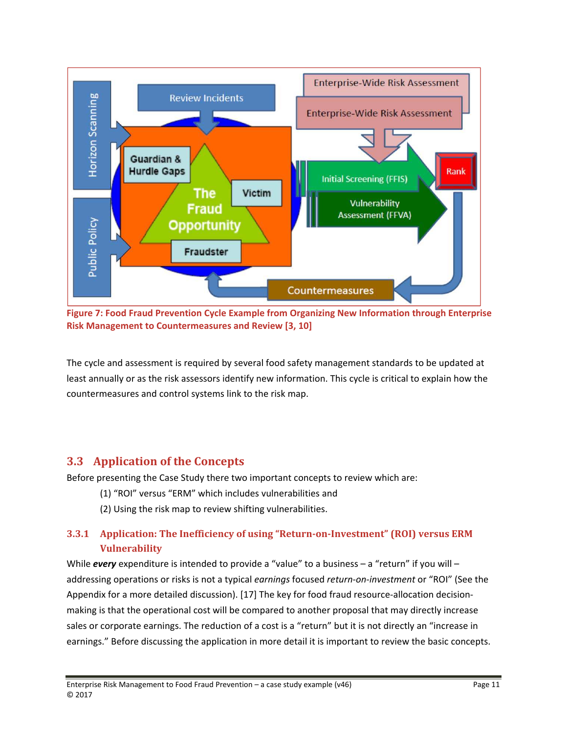

**Figure 7: Food Fraud Prevention Cycle Example from Organizing New Information through Enterprise Risk Management to Countermeasures and Review [3, 10]**

The cycle and assessment is required by several food safety management standards to be updated at least annually or as the risk assessors identify new information. This cycle is critical to explain how the countermeasures and control systems link to the risk map.

#### **3.3 Application of the Concepts**

Before presenting the Case Study there two important concepts to review which are:

- (1) "ROI" versus "ERM" which includes vulnerabilities and
- (2) Using the risk map to review shifting vulnerabilities.

#### **3.3.1 Application: The Inefficiency of using "Return‐on‐Investment" (ROI) versus ERM Vulnerability**

While *every* expenditure is intended to provide a "value" to a business - a "return" if you will addressing operations or risks is not a typical *earnings* focused *return‐on‐investment* or "ROI" (See the Appendix for a more detailed discussion). [17] The key for food fraud resource-allocation decisionmaking is that the operational cost will be compared to another proposal that may directly increase sales or corporate earnings. The reduction of a cost is a "return" but it is not directly an "increase in earnings." Before discussing the application in more detail it is important to review the basic concepts.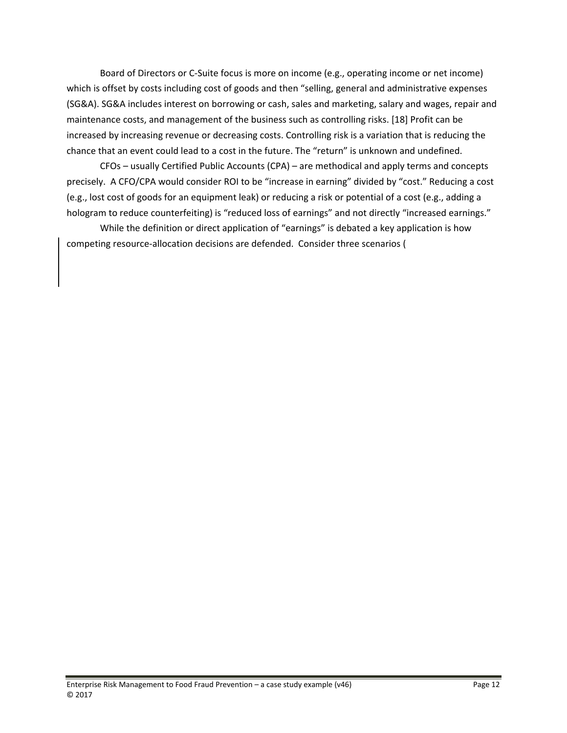Board of Directors or C‐Suite focus is more on income (e.g., operating income or net income) which is offset by costs including cost of goods and then "selling, general and administrative expenses (SG&A). SG&A includes interest on borrowing or cash, sales and marketing, salary and wages, repair and maintenance costs, and management of the business such as controlling risks. [18] Profit can be increased by increasing revenue or decreasing costs. Controlling risk is a variation that is reducing the chance that an event could lead to a cost in the future. The "return" is unknown and undefined.

CFOs – usually Certified Public Accounts (CPA) – are methodical and apply terms and concepts precisely. A CFO/CPA would consider ROI to be "increase in earning" divided by "cost." Reducing a cost (e.g., lost cost of goods for an equipment leak) or reducing a risk or potential of a cost (e.g., adding a hologram to reduce counterfeiting) is "reduced loss of earnings" and not directly "increased earnings."

While the definition or direct application of "earnings" is debated a key application is how competing resource‐allocation decisions are defended. Consider three scenarios (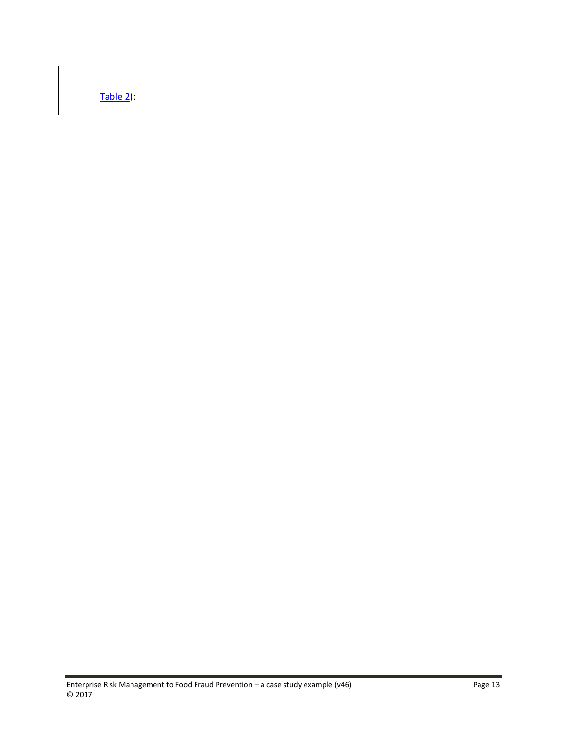Table 2):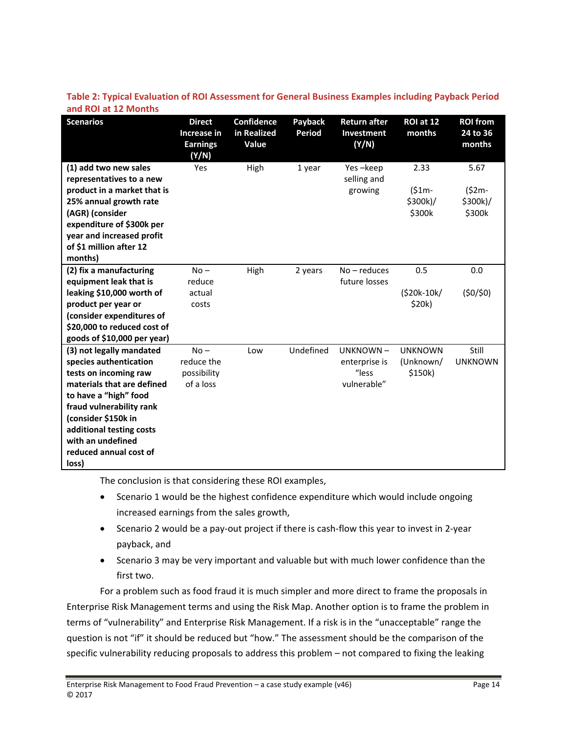| <b>Scenarios</b>                                                                                                                                           | <b>Direct</b><br>Increase in<br><b>Earnings</b><br>(Y/N) | <b>Confidence</b><br>in Realized<br>Value | Payback<br>Period | <b>Return after</b><br>Investment<br>(Y/N) | ROI at 12<br>months                    | <b>ROI from</b><br>24 to 36<br>months  |
|------------------------------------------------------------------------------------------------------------------------------------------------------------|----------------------------------------------------------|-------------------------------------------|-------------------|--------------------------------------------|----------------------------------------|----------------------------------------|
| (1) add two new sales<br>representatives to a new<br>product in a market that is<br>25% annual growth rate<br>(AGR) (consider<br>expenditure of \$300k per | Yes                                                      | High                                      | 1 year            | Yes-keep<br>selling and<br>growing         | 2.33<br>$(51m -$<br>\$300k)/<br>\$300k | 5.67<br>$(52m -$<br>\$300k)/<br>\$300k |
| year and increased profit<br>of \$1 million after 12<br>months)                                                                                            |                                                          |                                           |                   |                                            |                                        |                                        |
| (2) fix a manufacturing                                                                                                                                    | $No -$                                                   | High                                      | 2 years           | No-reduces                                 | 0.5                                    | 0.0                                    |
| equipment leak that is<br>leaking \$10,000 worth of                                                                                                        | reduce<br>actual                                         |                                           |                   | future losses                              | $(520k-10k)$                           | (50/50)                                |
| product per year or                                                                                                                                        | costs                                                    |                                           |                   |                                            | \$20k)                                 |                                        |
| (consider expenditures of                                                                                                                                  |                                                          |                                           |                   |                                            |                                        |                                        |
| \$20,000 to reduced cost of                                                                                                                                |                                                          |                                           |                   |                                            |                                        |                                        |
| goods of \$10,000 per year)                                                                                                                                |                                                          |                                           |                   |                                            |                                        |                                        |
| (3) not legally mandated                                                                                                                                   | $No -$                                                   | Low                                       | Undefined         | UNKNOWN-                                   | <b>UNKNOWN</b>                         | Still                                  |
| species authentication                                                                                                                                     | reduce the                                               |                                           |                   | enterprise is                              | (Unknown/                              | <b>UNKNOWN</b>                         |
| tests on incoming raw                                                                                                                                      | possibility                                              |                                           |                   | "less                                      | \$150k)                                |                                        |
| materials that are defined                                                                                                                                 | of a loss                                                |                                           |                   | vulnerable"                                |                                        |                                        |
| to have a "high" food                                                                                                                                      |                                                          |                                           |                   |                                            |                                        |                                        |
| fraud vulnerability rank                                                                                                                                   |                                                          |                                           |                   |                                            |                                        |                                        |
| (consider \$150k in                                                                                                                                        |                                                          |                                           |                   |                                            |                                        |                                        |
| additional testing costs<br>with an undefined                                                                                                              |                                                          |                                           |                   |                                            |                                        |                                        |
| reduced annual cost of                                                                                                                                     |                                                          |                                           |                   |                                            |                                        |                                        |
| loss)                                                                                                                                                      |                                                          |                                           |                   |                                            |                                        |                                        |

**Table 2: Typical Evaluation of ROI Assessment for General Business Examples including Payback Period and ROI at 12 Months**

The conclusion is that considering these ROI examples,

- Scenario 1 would be the highest confidence expenditure which would include ongoing increased earnings from the sales growth,
- Scenario 2 would be a pay-out project if there is cash-flow this year to invest in 2-year payback, and
- Scenario 3 may be very important and valuable but with much lower confidence than the first two.

For a problem such as food fraud it is much simpler and more direct to frame the proposals in Enterprise Risk Management terms and using the Risk Map. Another option is to frame the problem in terms of "vulnerability" and Enterprise Risk Management. If a risk is in the "unacceptable" range the question is not "if" it should be reduced but "how." The assessment should be the comparison of the specific vulnerability reducing proposals to address this problem – not compared to fixing the leaking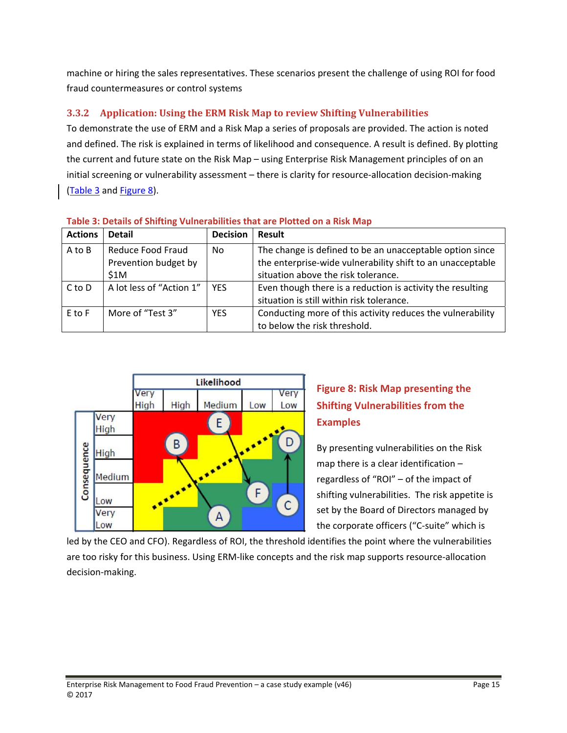machine or hiring the sales representatives. These scenarios present the challenge of using ROI for food fraud countermeasures or control systems

#### **3.3.2 Application: Using the ERM Risk Map to review Shifting Vulnerabilities**

To demonstrate the use of ERM and a Risk Map a series of proposals are provided. The action is noted and defined. The risk is explained in terms of likelihood and consequence. A result is defined. By plotting the current and future state on the Risk Map – using Enterprise Risk Management principles of on an initial screening or vulnerability assessment – there is clarity for resource-allocation decision-making (Table 3 and Figure 8).

| <b>Actions</b> | <b>Detail</b>                                     | <b>Decision</b> | Result                                                                                                                                                        |
|----------------|---------------------------------------------------|-----------------|---------------------------------------------------------------------------------------------------------------------------------------------------------------|
| A to B         | Reduce Food Fraud<br>Prevention budget by<br>\$1M | No.             | The change is defined to be an unacceptable option since<br>the enterprise-wide vulnerability shift to an unacceptable<br>situation above the risk tolerance. |
| $C$ to $D$     | A lot less of "Action 1"                          | <b>YFS</b>      | Even though there is a reduction is activity the resulting<br>situation is still within risk tolerance.                                                       |
| E to F         | More of "Test 3"                                  | <b>YES</b>      | Conducting more of this activity reduces the vulnerability<br>to below the risk threshold.                                                                    |



# **Figure 8: Risk Map presenting the Shifting Vulnerabilities from the Examples**

By presenting vulnerabilities on the Risk map there is a clear identification – regardless of "ROI" – of the impact of shifting vulnerabilities. The risk appetite is set by the Board of Directors managed by the corporate officers ("C‐suite" which is

led by the CEO and CFO). Regardless of ROI, the threshold identifies the point where the vulnerabilities are too risky for this business. Using ERM-like concepts and the risk map supports resource-allocation decision‐making.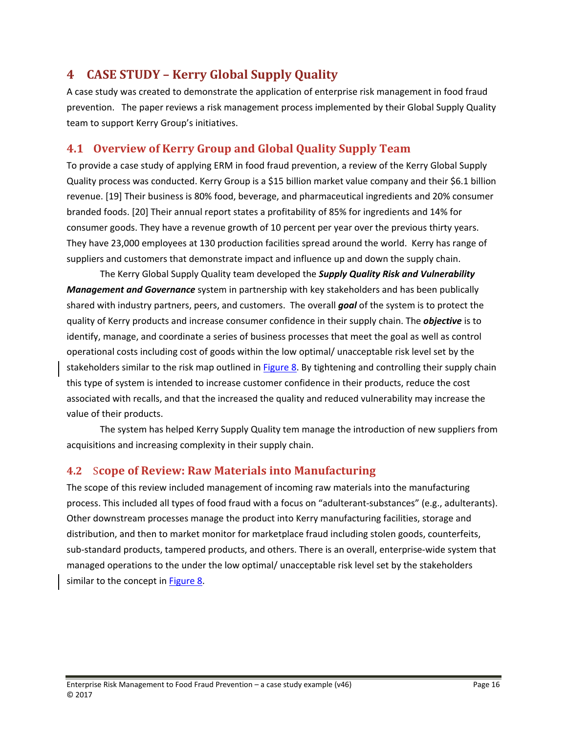# **4 CASE STUDY – Kerry Global Supply Quality**

A case study was created to demonstrate the application of enterprise risk management in food fraud prevention. The paper reviews a risk management process implemented by their Global Supply Quality team to support Kerry Group's initiatives.

# **4.1 Overview of Kerry Group and Global Quality Supply Team**

To provide a case study of applying ERM in food fraud prevention, a review of the Kerry Global Supply Quality process was conducted. Kerry Group is a \$15 billion market value company and their \$6.1 billion revenue. [19] Their business is 80% food, beverage, and pharmaceutical ingredients and 20% consumer branded foods. [20] Their annual report states a profitability of 85% for ingredients and 14% for consumer goods. They have a revenue growth of 10 percent per year over the previous thirty years. They have 23,000 employees at 130 production facilities spread around the world. Kerry has range of suppliers and customers that demonstrate impact and influence up and down the supply chain.

The Kerry Global Supply Quality team developed the *Supply Quality Risk and Vulnerability Management and Governance* system in partnership with key stakeholders and has been publically shared with industry partners, peers, and customers. The overall *goal* of the system is to protect the quality of Kerry products and increase consumer confidence in their supply chain. The *objective* is to identify, manage, and coordinate a series of business processes that meet the goal as well as control operational costs including cost of goods within the low optimal/ unacceptable risk level set by the stakeholders similar to the risk map outlined in Figure 8. By tightening and controlling their supply chain this type of system is intended to increase customer confidence in their products, reduce the cost associated with recalls, and that the increased the quality and reduced vulnerability may increase the value of their products.

The system has helped Kerry Supply Quality tem manage the introduction of new suppliers from acquisitions and increasing complexity in their supply chain.

#### **4.2** S**cope of Review: Raw Materials into Manufacturing**

The scope of this review included management of incoming raw materials into the manufacturing process. This included all types of food fraud with a focus on "adulterant‐substances" (e.g., adulterants). Other downstream processes manage the product into Kerry manufacturing facilities, storage and distribution, and then to market monitor for marketplace fraud including stolen goods, counterfeits, sub-standard products, tampered products, and others. There is an overall, enterprise-wide system that managed operations to the under the low optimal/ unacceptable risk level set by the stakeholders similar to the concept in Figure 8.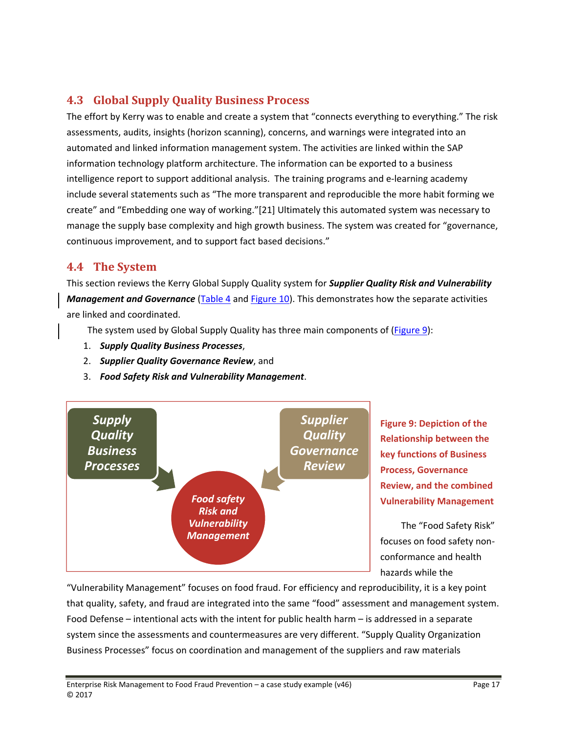# **4.3 Global Supply Quality Business Process**

The effort by Kerry was to enable and create a system that "connects everything to everything." The risk assessments, audits, insights (horizon scanning), concerns, and warnings were integrated into an automated and linked information management system. The activities are linked within the SAP information technology platform architecture. The information can be exported to a business intelligence report to support additional analysis. The training programs and e‐learning academy include several statements such as "The more transparent and reproducible the more habit forming we create" and "Embedding one way of working."[21] Ultimately this automated system was necessary to manage the supply base complexity and high growth business. The system was created for "governance, continuous improvement, and to support fact based decisions."

#### **4.4 The System**

This section reviews the Kerry Global Supply Quality system for *Supplier Quality Risk and Vulnerability Management and Governance* (Table 4 and Figure 10). This demonstrates how the separate activities are linked and coordinated.

The system used by Global Supply Quality has three main components of (Figure 9):

- 1. *Supply Quality Business Processes*,
- 2. *Supplier Quality Governance Review*, and
- 3. *Food Safety Risk and Vulnerability Management*.



**Figure 9: Depiction of the Relationship between the key functions of Business Process, Governance Review, and the combined Vulnerability Management**

The "Food Safety Risk" focuses on food safety non‐ conformance and health hazards while the

"Vulnerability Management" focuses on food fraud. For efficiency and reproducibility, it is a key point that quality, safety, and fraud are integrated into the same "food" assessment and management system. Food Defense – intentional acts with the intent for public health harm – is addressed in a separate system since the assessments and countermeasures are very different. "Supply Quality Organization Business Processes" focus on coordination and management of the suppliers and raw materials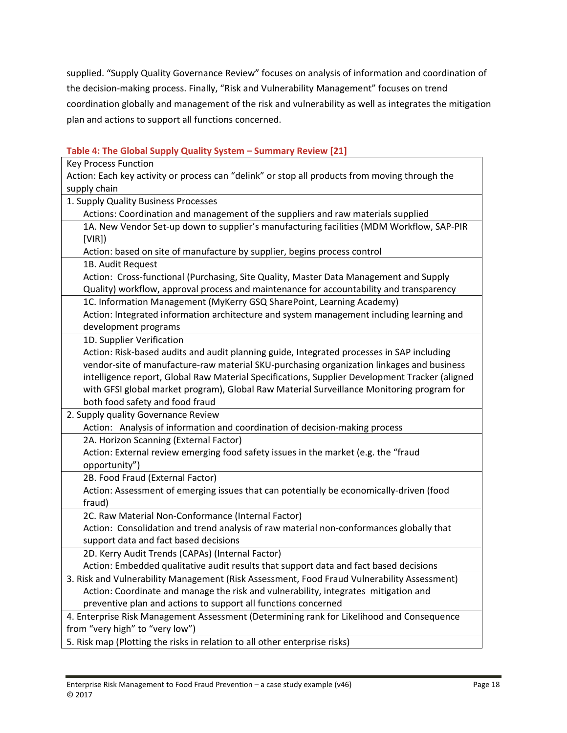supplied. "Supply Quality Governance Review" focuses on analysis of information and coordination of the decision‐making process. Finally, "Risk and Vulnerability Management" focuses on trend coordination globally and management of the risk and vulnerability as well as integrates the mitigation plan and actions to support all functions concerned.

#### Key Process Function Action: Each key activity or process can "delink" or stop all products from moving through the supply chain 1. Supply Quality Business Processes Actions: Coordination and management of the suppliers and raw materials supplied 1A. New Vendor Set‐up down to supplier's manufacturing facilities (MDM Workflow, SAP‐PIR [VIR]) Action: based on site of manufacture by supplier, begins process control 1B. Audit Request Action: Cross‐functional (Purchasing, Site Quality, Master Data Management and Supply Quality) workflow, approval process and maintenance for accountability and transparency 1C. Information Management (MyKerry GSQ SharePoint, Learning Academy) Action: Integrated information architecture and system management including learning and development programs 1D. Supplier Verification Action: Risk‐based audits and audit planning guide, Integrated processes in SAP including vendor‐site of manufacture‐raw material SKU‐purchasing organization linkages and business intelligence report, Global Raw Material Specifications, Supplier Development Tracker (aligned with GFSI global market program), Global Raw Material Surveillance Monitoring program for both food safety and food fraud 2. Supply quality Governance Review Action: Analysis of information and coordination of decision-making process 2A. Horizon Scanning (External Factor) Action: External review emerging food safety issues in the market (e.g. the "fraud opportunity") 2B. Food Fraud (External Factor) Action: Assessment of emerging issues that can potentially be economically‐driven (food fraud) 2C. Raw Material Non‐Conformance (Internal Factor) Action: Consolidation and trend analysis of raw material non‐conformances globally that support data and fact based decisions 2D. Kerry Audit Trends (CAPAs) (Internal Factor) Action: Embedded qualitative audit results that support data and fact based decisions 3. Risk and Vulnerability Management (Risk Assessment, Food Fraud Vulnerability Assessment) Action: Coordinate and manage the risk and vulnerability, integrates mitigation and preventive plan and actions to support all functions concerned 4. Enterprise Risk Management Assessment (Determining rank for Likelihood and Consequence from "very high" to "very low") 5. Risk map (Plotting the risks in relation to all other enterprise risks)

#### **Table 4: The Global Supply Quality System – Summary Review [21]**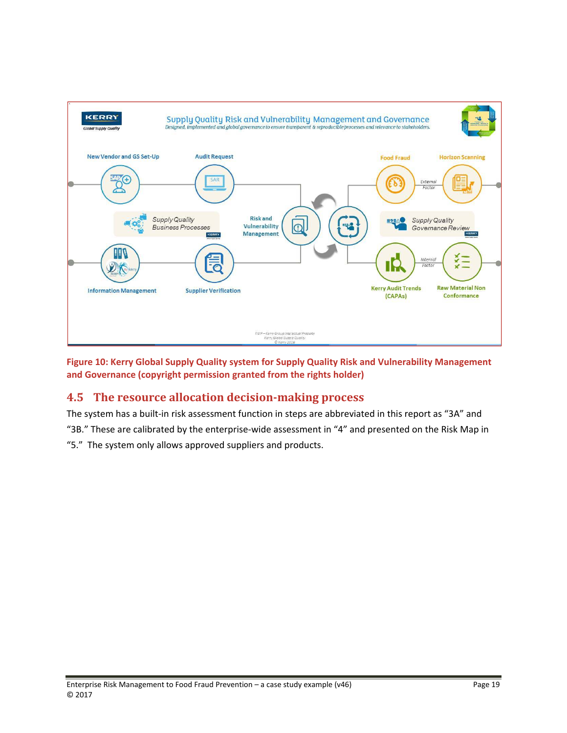

**Figure 10: Kerry Global Supply Quality system for Supply Quality Risk and Vulnerability Management and Governance (copyright permission granted from the rights holder)**

## **4.5 The resource allocation decision‐making process**

The system has a built-in risk assessment function in steps are abbreviated in this report as "3A" and "3B." These are calibrated by the enterprise‐wide assessment in "4" and presented on the Risk Map in "5." The system only allows approved suppliers and products.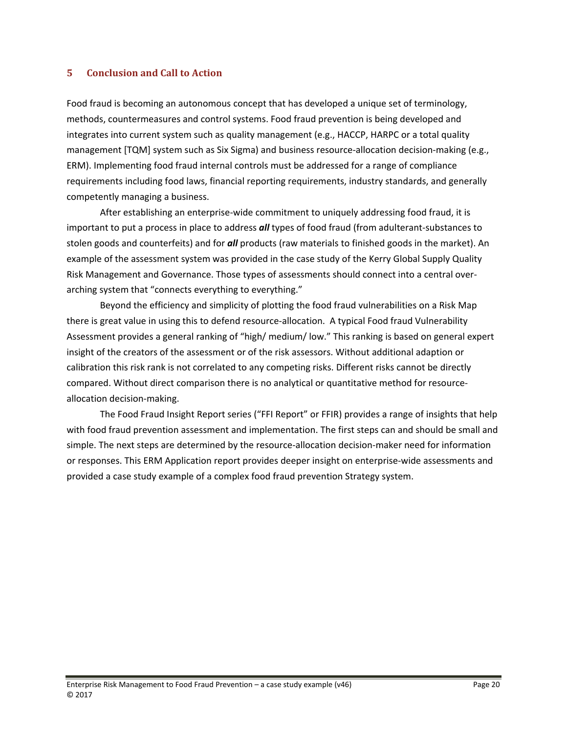#### **5 Conclusion and Call to Action**

Food fraud is becoming an autonomous concept that has developed a unique set of terminology, methods, countermeasures and control systems. Food fraud prevention is being developed and integrates into current system such as quality management (e.g., HACCP, HARPC or a total quality management [TQM] system such as Six Sigma) and business resource-allocation decision-making (e.g., ERM). Implementing food fraud internal controls must be addressed for a range of compliance requirements including food laws, financial reporting requirements, industry standards, and generally competently managing a business.

After establishing an enterprise‐wide commitment to uniquely addressing food fraud, it is important to put a process in place to address *all* types of food fraud (from adulterant‐substances to stolen goods and counterfeits) and for *all* products (raw materials to finished goods in the market). An example of the assessment system was provided in the case study of the Kerry Global Supply Quality Risk Management and Governance. Those types of assessments should connect into a central over‐ arching system that "connects everything to everything."

Beyond the efficiency and simplicity of plotting the food fraud vulnerabilities on a Risk Map there is great value in using this to defend resource-allocation. A typical Food fraud Vulnerability Assessment provides a general ranking of "high/ medium/ low." This ranking is based on general expert insight of the creators of the assessment or of the risk assessors. Without additional adaption or calibration this risk rank is not correlated to any competing risks. Different risks cannot be directly compared. Without direct comparison there is no analytical or quantitative method for resource‐ allocation decision‐making.

The Food Fraud Insight Report series ("FFI Report" or FFIR) provides a range of insights that help with food fraud prevention assessment and implementation. The first steps can and should be small and simple. The next steps are determined by the resource-allocation decision-maker need for information or responses. This ERM Application report provides deeper insight on enterprise‐wide assessments and provided a case study example of a complex food fraud prevention Strategy system.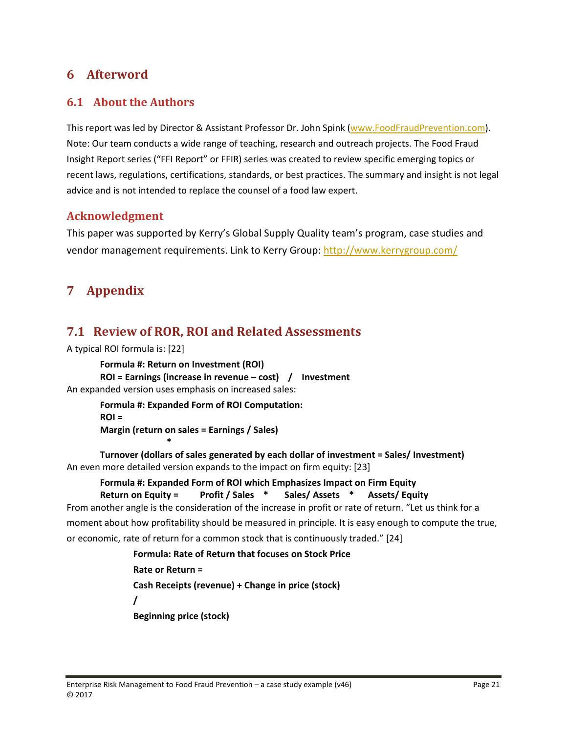# **6 Afterword**

#### **6.1 About the Authors**

This report was led by Director & Assistant Professor Dr. John Spink (www.FoodFraudPrevention.com). Note: Our team conducts a wide range of teaching, research and outreach projects. The Food Fraud Insight Report series ("FFI Report" or FFIR) series was created to review specific emerging topics or recent laws, regulations, certifications, standards, or best practices. The summary and insight is not legal advice and is not intended to replace the counsel of a food law expert.

#### **Acknowledgment**

This paper was supported by Kerry's Global Supply Quality team's program, case studies and vendor management requirements. Link to Kerry Group: http://www.kerrygroup.com/

# **7 Appendix**

# **7.1 Review of ROR, ROI and Related Assessments**

```
A typical ROI formula is: [22]
```
**Formula #: Return on Investment (ROI) ROI = Earnings (increase in revenue – cost) / Investment** An expanded version uses emphasis on increased sales:

> **Formula #: Expanded Form of ROI Computation: ROI = Margin (return on sales = Earnings / Sales)**

> > **\***

**Turnover (dollars of sales generated by each dollar of investment = Sales/ Investment)** An even more detailed version expands to the impact on firm equity: [23]

**Formula #: Expanded Form of ROI which Emphasizes Impact on Firm Equity Return on Equity = Profit / Sales \* Sales/ Assets \* Assets/ Equity**

From another angle is the consideration of the increase in profit or rate of return. "Let us think for a moment about how profitability should be measured in principle. It is easy enough to compute the true, or economic, rate of return for a common stock that is continuously traded." [24]

```
Formula: Rate of Return that focuses on Stock Price
Rate or Return =
Cash Receipts (revenue) + Change in price (stock)
/
Beginning price (stock)
```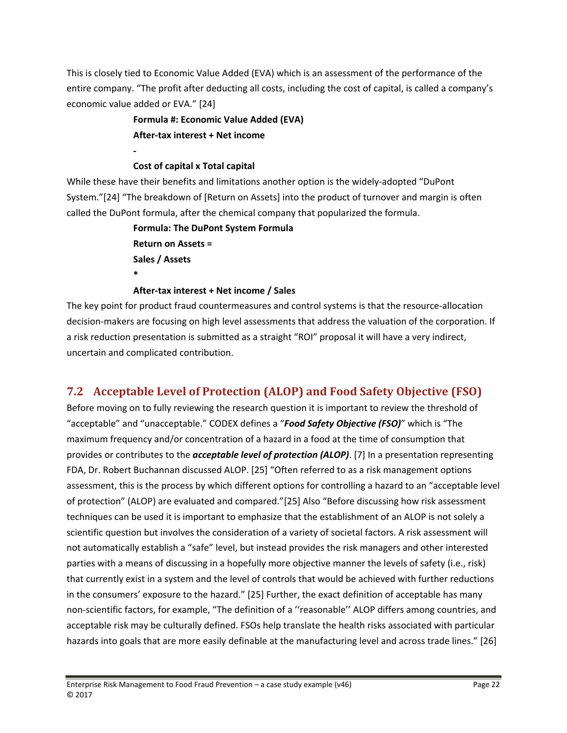This is closely tied to Economic Value Added (EVA) which is an assessment of the performance of the entire company. "The profit after deducting all costs, including the cost of capital, is called a company's economic value added or EVA." [24]

> **Formula #: Economic Value Added (EVA) After‐tax interest + Net income**

#### **Cost of capital x Total capital**

**‐** 

While these have their benefits and limitations another option is the widely-adopted "DuPont System."[24] "The breakdown of [Return on Assets] into the product of turnover and margin is often called the DuPont formula, after the chemical company that popularized the formula.

> **Formula: The DuPont System Formula Return on Assets = Sales / Assets \***

**After‐tax interest + Net income / Sales**

The key point for product fraud countermeasures and control systems is that the resource-allocation decision‐makers are focusing on high level assessments that address the valuation of the corporation. If a risk reduction presentation is submitted as a straight "ROI" proposal it will have a very indirect, uncertain and complicated contribution.

# **7.2 Acceptable Level of Protection (ALOP) and Food Safety Objective (FSO)**

Before moving on to fully reviewing the research question it is important to review the threshold of "acceptable" and "unacceptable." CODEX defines a "*Food Safety Objective (FSO)*" which is "The maximum frequency and/or concentration of a hazard in a food at the time of consumption that provides or contributes to the *acceptable level of protection (ALOP)*. [7] In a presentation representing FDA, Dr. Robert Buchannan discussed ALOP. [25] "Often referred to as a risk management options assessment, this is the process by which different options for controlling a hazard to an "acceptable level of protection" (ALOP) are evaluated and compared."[25] Also "Before discussing how risk assessment techniques can be used it is important to emphasize that the establishment of an ALOP is not solely a scientific question but involves the consideration of a variety of societal factors. A risk assessment will not automatically establish a "safe" level, but instead provides the risk managers and other interested parties with a means of discussing in a hopefully more objective manner the levels of safety (i.e., risk) that currently exist in a system and the level of controls that would be achieved with further reductions in the consumers' exposure to the hazard." [25] Further, the exact definition of acceptable has many non‐scientific factors, for example, "The definition of a ''reasonable'' ALOP differs among countries, and acceptable risk may be culturally defined. FSOs help translate the health risks associated with particular hazards into goals that are more easily definable at the manufacturing level and across trade lines." [26]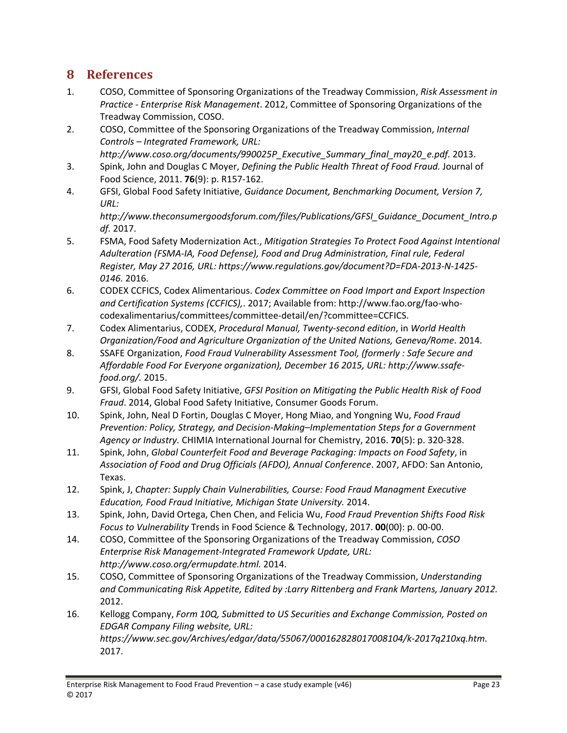# **8 References**

- 1. COSO, Committee of Sponsoring Organizations of the Treadway Commission, *Risk Assessment in Practice ‐ Enterprise Risk Management*. 2012, Committee of Sponsoring Organizations of the Treadway Commission, COSO.
- 2. COSO, Committee of the Sponsoring Organizations of the Treadway Commission, *Internal Controls – Integrated Framework, URL:*

*http://www.coso.org/documents/990025P\_Executive\_Summary\_final\_may20\_e.pdf.* 2013.

- 3. Spink, John and Douglas C Moyer, *Defining the Public Health Threat of Food Fraud.* Journal of Food Science, 2011. **76**(9): p. R157‐162.
- 4. GFSI, Global Food Safety Initiative, *Guidance Document, Benchmarking Document, Version 7, URL:*

*http://www.theconsumergoodsforum.com/files/Publications/GFSI\_Guidance\_Document\_Intro.p df.* 2017.

- 5. FSMA, Food Safety Modernization Act., *Mitigation Strategies To Protect Food Against Intentional Adulteration (FSMA‐IA, Food Defense), Food and Drug Administration, Final rule, Federal Register, May 27 2016, URL: https://www.regulations.gov/document?D=FDA‐2013‐N‐1425‐ 0146.* 2016.
- 6. CODEX CCFICS, Codex Alimentarious. *Codex Committee on Food Import and Export Inspection and Certification Systems (CCFICS),*. 2017; Available from: http://www.fao.org/fao‐who‐ codexalimentarius/committees/committee‐detail/en/?committee=CCFICS.
- 7. Codex Alimentarius, CODEX, *Procedural Manual, Twenty‐second edition*, in *World Health Organization/Food and Agriculture Organization of the United Nations, Geneva/Rome*. 2014.
- 8. SSAFE Organization, *Food Fraud Vulnerability Assessment Tool, (formerly : Safe Secure and Affordable Food For Everyone organization), December 16 2015, URL: http://www.ssafe‐ food.org/.* 2015.
- 9. GFSI, Global Food Safety Initiative, *GFSI Position on Mitigating the Public Health Risk of Food Fraud*. 2014, Global Food Safety Initiative, Consumer Goods Forum.
- 10. Spink, John, Neal D Fortin, Douglas C Moyer, Hong Miao, and Yongning Wu, *Food Fraud Prevention: Policy, Strategy, and Decision‐Making–Implementation Steps for a Government Agency or Industry.* CHIMIA International Journal for Chemistry, 2016. **70**(5): p. 320‐328.
- 11. Spink, John, *Global Counterfeit Food and Beverage Packaging: Impacts on Food Safety*, in *Association of Food and Drug Officials (AFDO), Annual Conference*. 2007, AFDO: San Antonio, Texas.
- 12. Spink, J, *Chapter: Supply Chain Vulnerabilities, Course: Food Fraud Managment Executive Education, Food Fraud Initiative, Michigan State University.* 2014.
- 13. Spink, John, David Ortega, Chen Chen, and Felicia Wu, *Food Fraud Prevention Shifts Food Risk Focus to Vulnerability* Trends in Food Science & Technology, 2017. **00**(00): p. 00‐00.
- 14. COSO, Committee of the Sponsoring Organizations of the Treadway Commission, *COSO Enterprise Risk Management‐Integrated Framework Update, URL: http://www.coso.org/ermupdate.html.* 2014.
- 15. COSO, Committee of Sponsoring Organizations of the Treadway Commission, *Understanding and Communicating Risk Appetite, Edited by :Larry Rittenberg and Frank Martens, January 2012.* 2012.
- 16. Kellogg Company, *Form 10Q, Submitted to US Securities and Exchange Commission, Posted on EDGAR Company Filing website, URL: https://www.sec.gov/Archives/edgar/data/55067/000162828017008104/k‐2017q210xq.htm.* 2017.